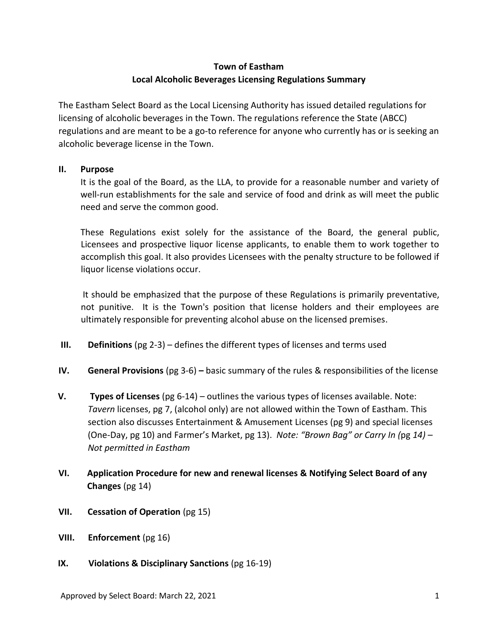# **Town of Eastham Local Alcoholic Beverages Licensing Regulations Summary**

The Eastham Select Board as the Local Licensing Authority has issued detailed regulations for licensing of alcoholic beverages in the Town. The regulations reference the State (ABCC) regulations and are meant to be a go-to reference for anyone who currently has or is seeking an alcoholic beverage license in the Town.

## **II. Purpose**

It is the goal of the Board, as the LLA, to provide for a reasonable number and variety of well-run establishments for the sale and service of food and drink as will meet the public need and serve the common good.

These Regulations exist solely for the assistance of the Board, the general public, Licensees and prospective liquor license applicants, to enable them to work together to accomplish this goal. It also provides Licensees with the penalty structure to be followed if liquor license violations occur.

It should be emphasized that the purpose of these Regulations is primarily preventative, not punitive. It is the Town's position that license holders and their employees are ultimately responsible for preventing alcohol abuse on the licensed premises.

- **III. Definitions** (pg 2-3) defines the different types of licenses and terms used
- **IV. General Provisions** (pg 3-6) **–** basic summary of the rules & responsibilities of the license
- **V. Types of Licenses** (pg 6-14) outlines the various types of licenses available. Note: *Tavern* licenses, pg 7, (alcohol only) are not allowed within the Town of Eastham. This section also discusses Entertainment & Amusement Licenses (pg 9) and special licenses (One-Day, pg 10) and Farmer's Market, pg 13). *Note: "Brown Bag" or Carry In (*pg *14) – Not permitted in Eastham*
- **VI. Application Procedure for new and renewal licenses & Notifying Select Board of any Changes** (pg 14)
- **VII. Cessation of Operation** (pg 15)
- **VIII. Enforcement** (pg 16)
- **IX. Violations & Disciplinary Sanctions** (pg 16-19)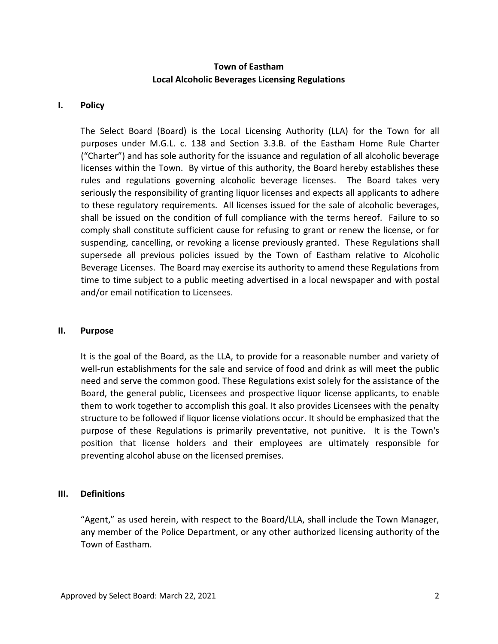## **Town of Eastham Local Alcoholic Beverages Licensing Regulations**

#### **I. Policy**

The Select Board (Board) is the Local Licensing Authority (LLA) for the Town for all purposes under M.G.L. c. 138 and Section 3.3.B. of the Eastham Home Rule Charter ("Charter") and has sole authority for the issuance and regulation of all alcoholic beverage licenses within the Town. By virtue of this authority, the Board hereby establishes these rules and regulations governing alcoholic beverage licenses. The Board takes very seriously the responsibility of granting liquor licenses and expects all applicants to adhere to these regulatory requirements. All licenses issued for the sale of alcoholic beverages, shall be issued on the condition of full compliance with the terms hereof. Failure to so comply shall constitute sufficient cause for refusing to grant or renew the license, or for suspending, cancelling, or revoking a license previously granted. These Regulations shall supersede all previous policies issued by the Town of Eastham relative to Alcoholic Beverage Licenses. The Board may exercise its authority to amend these Regulations from time to time subject to a public meeting advertised in a local newspaper and with postal and/or email notification to Licensees.

#### **II. Purpose**

It is the goal of the Board, as the LLA, to provide for a reasonable number and variety of well-run establishments for the sale and service of food and drink as will meet the public need and serve the common good. These Regulations exist solely for the assistance of the Board, the general public, Licensees and prospective liquor license applicants, to enable them to work together to accomplish this goal. It also provides Licensees with the penalty structure to be followed if liquor license violations occur. It should be emphasized that the purpose of these Regulations is primarily preventative, not punitive. It is the Town's position that license holders and their employees are ultimately responsible for preventing alcohol abuse on the licensed premises.

#### **III. Definitions**

"Agent," as used herein, with respect to the Board/LLA, shall include the Town Manager, any member of the Police Department, or any other authorized licensing authority of the Town of Eastham.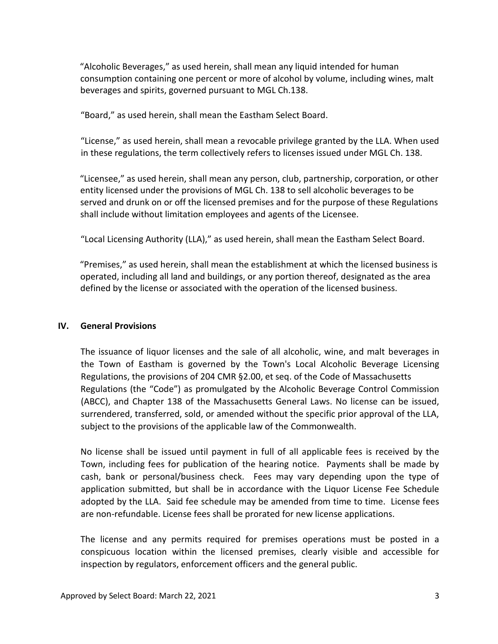"Alcoholic Beverages," as used herein, shall mean any liquid intended for human consumption containing one percent or more of alcohol by volume, including wines, malt beverages and spirits, governed pursuant to MGL Ch.138.

"Board," as used herein, shall mean the Eastham Select Board.

"License," as used herein, shall mean a revocable privilege granted by the LLA. When used in these regulations, the term collectively refers to licenses issued under MGL Ch. 138.

"Licensee," as used herein, shall mean any person, club, partnership, corporation, or other entity licensed under the provisions of MGL Ch. 138 to sell alcoholic beverages to be served and drunk on or off the licensed premises and for the purpose of these Regulations shall include without limitation employees and agents of the Licensee.

"Local Licensing Authority (LLA)," as used herein, shall mean the Eastham Select Board.

"Premises," as used herein, shall mean the establishment at which the licensed business is operated, including all land and buildings, or any portion thereof, designated as the area defined by the license or associated with the operation of the licensed business.

#### **IV. General Provisions**

The issuance of liquor licenses and the sale of all alcoholic, wine, and malt beverages in the Town of Eastham is governed by the Town's Local Alcoholic Beverage Licensing Regulations, the provisions of 204 CMR §2.00, et seq. of the Code of Massachusetts Regulations (the "Code") as promulgated by the Alcoholic Beverage Control Commission (ABCC), and Chapter 138 of the Massachusetts General Laws. No license can be issued, surrendered, transferred, sold, or amended without the specific prior approval of the LLA, subject to the provisions of the applicable law of the Commonwealth.

No license shall be issued until payment in full of all applicable fees is received by the Town, including fees for publication of the hearing notice. Payments shall be made by cash, bank or personal/business check. Fees may vary depending upon the type of application submitted, but shall be in accordance with the Liquor License Fee Schedule adopted by the LLA. Said fee schedule may be amended from time to time. License fees are non-refundable. License fees shall be prorated for new license applications.

The license and any permits required for premises operations must be posted in a conspicuous location within the licensed premises, clearly visible and accessible for inspection by regulators, enforcement officers and the general public.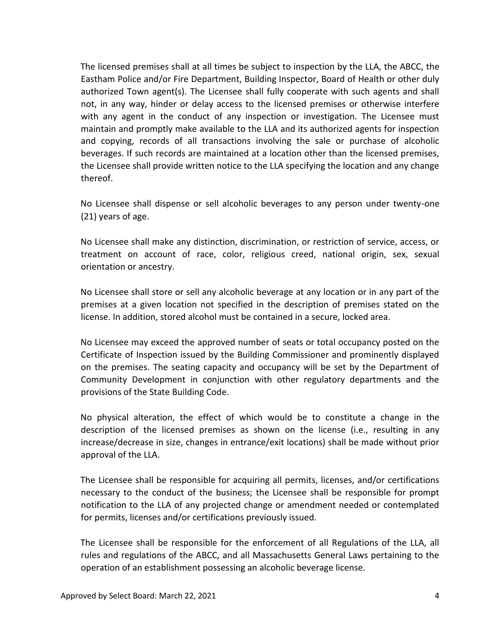The licensed premises shall at all times be subject to inspection by the LLA, the ABCC, the Eastham Police and/or Fire Department, Building Inspector, Board of Health or other duly authorized Town agent(s). The Licensee shall fully cooperate with such agents and shall not, in any way, hinder or delay access to the licensed premises or otherwise interfere with any agent in the conduct of any inspection or investigation. The Licensee must maintain and promptly make available to the LLA and its authorized agents for inspection and copying, records of all transactions involving the sale or purchase of alcoholic beverages. If such records are maintained at a location other than the licensed premises, the Licensee shall provide written notice to the LLA specifying the location and any change thereof.

No Licensee shall dispense or sell alcoholic beverages to any person under twenty-one (21) years of age.

No Licensee shall make any distinction, discrimination, or restriction of service, access, or treatment on account of race, color, religious creed, national origin, sex, sexual orientation or ancestry.

No Licensee shall store or sell any alcoholic beverage at any location or in any part of the premises at a given location not specified in the description of premises stated on the license. In addition, stored alcohol must be contained in a secure, locked area.

No Licensee may exceed the approved number of seats or total occupancy posted on the Certificate of Inspection issued by the Building Commissioner and prominently displayed on the premises. The seating capacity and occupancy will be set by the Department of Community Development in conjunction with other regulatory departments and the provisions of the State Building Code.

No physical alteration, the effect of which would be to constitute a change in the description of the licensed premises as shown on the license (i.e., resulting in any increase/decrease in size, changes in entrance/exit locations) shall be made without prior approval of the LLA.

The Licensee shall be responsible for acquiring all permits, licenses, and/or certifications necessary to the conduct of the business; the Licensee shall be responsible for prompt notification to the LLA of any projected change or amendment needed or contemplated for permits, licenses and/or certifications previously issued.

The Licensee shall be responsible for the enforcement of all Regulations of the LLA, all rules and regulations of the ABCC, and all Massachusetts General Laws pertaining to the operation of an establishment possessing an alcoholic beverage license.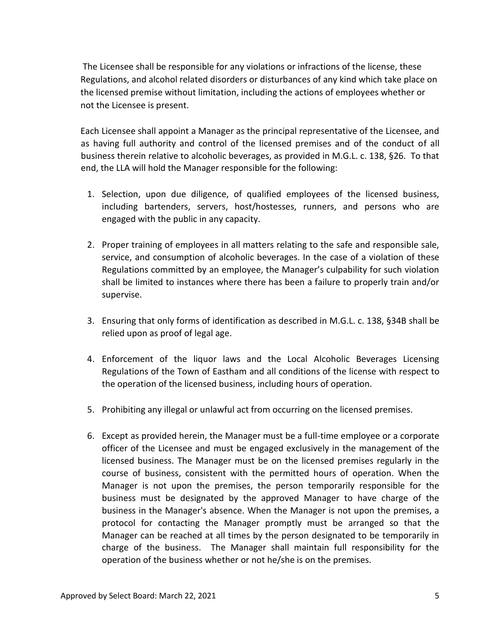The Licensee shall be responsible for any violations or infractions of the license, these Regulations, and alcohol related disorders or disturbances of any kind which take place on the licensed premise without limitation, including the actions of employees whether or not the Licensee is present.

Each Licensee shall appoint a Manager as the principal representative of the Licensee, and as having full authority and control of the licensed premises and of the conduct of all business therein relative to alcoholic beverages, as provided in M.G.L. c. 138, §26. To that end, the LLA will hold the Manager responsible for the following:

- 1. Selection, upon due diligence, of qualified employees of the licensed business, including bartenders, servers, host/hostesses, runners, and persons who are engaged with the public in any capacity.
- 2. Proper training of employees in all matters relating to the safe and responsible sale, service, and consumption of alcoholic beverages. In the case of a violation of these Regulations committed by an employee, the Manager's culpability for such violation shall be limited to instances where there has been a failure to properly train and/or supervise.
- 3. Ensuring that only forms of identification as described in M.G.L. c. 138, §34B shall be relied upon as proof of legal age.
- 4. Enforcement of the liquor laws and the Local Alcoholic Beverages Licensing Regulations of the Town of Eastham and all conditions of the license with respect to the operation of the licensed business, including hours of operation.
- 5. Prohibiting any illegal or unlawful act from occurring on the licensed premises.
- 6. Except as provided herein, the Manager must be a full-time employee or a corporate officer of the Licensee and must be engaged exclusively in the management of the licensed business. The Manager must be on the licensed premises regularly in the course of business, consistent with the permitted hours of operation. When the Manager is not upon the premises, the person temporarily responsible for the business must be designated by the approved Manager to have charge of the business in the Manager's absence. When the Manager is not upon the premises, a protocol for contacting the Manager promptly must be arranged so that the Manager can be reached at all times by the person designated to be temporarily in charge of the business. The Manager shall maintain full responsibility for the operation of the business whether or not he/she is on the premises.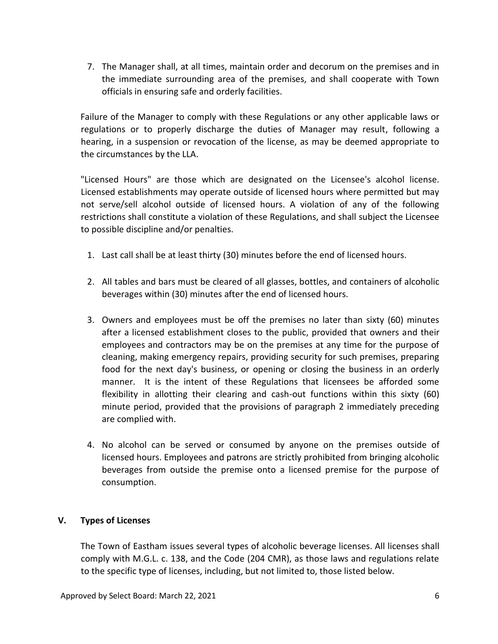7. The Manager shall, at all times, maintain order and decorum on the premises and in the immediate surrounding area of the premises, and shall cooperate with Town officials in ensuring safe and orderly facilities.

Failure of the Manager to comply with these Regulations or any other applicable laws or regulations or to properly discharge the duties of Manager may result, following a hearing, in a suspension or revocation of the license, as may be deemed appropriate to the circumstances by the LLA.

"Licensed Hours" are those which are designated on the Licensee's alcohol license. Licensed establishments may operate outside of licensed hours where permitted but may not serve/sell alcohol outside of licensed hours. A violation of any of the following restrictions shall constitute a violation of these Regulations, and shall subject the Licensee to possible discipline and/or penalties.

- 1. Last call shall be at least thirty (30) minutes before the end of licensed hours.
- 2. All tables and bars must be cleared of all glasses, bottles, and containers of alcoholic beverages within (30) minutes after the end of licensed hours.
- 3. Owners and employees must be off the premises no later than sixty (60) minutes after a licensed establishment closes to the public, provided that owners and their employees and contractors may be on the premises at any time for the purpose of cleaning, making emergency repairs, providing security for such premises, preparing food for the next day's business, or opening or closing the business in an orderly manner. It is the intent of these Regulations that licensees be afforded some flexibility in allotting their clearing and cash-out functions within this sixty (60) minute period, provided that the provisions of paragraph 2 immediately preceding are complied with.
- 4. No alcohol can be served or consumed by anyone on the premises outside of licensed hours. Employees and patrons are strictly prohibited from bringing alcoholic beverages from outside the premise onto a licensed premise for the purpose of consumption.

#### **V. Types of Licenses**

The Town of Eastham issues several types of alcoholic beverage licenses. All licenses shall comply with M.G.L. c. 138, and the Code (204 CMR), as those laws and regulations relate to the specific type of licenses, including, but not limited to, those listed below.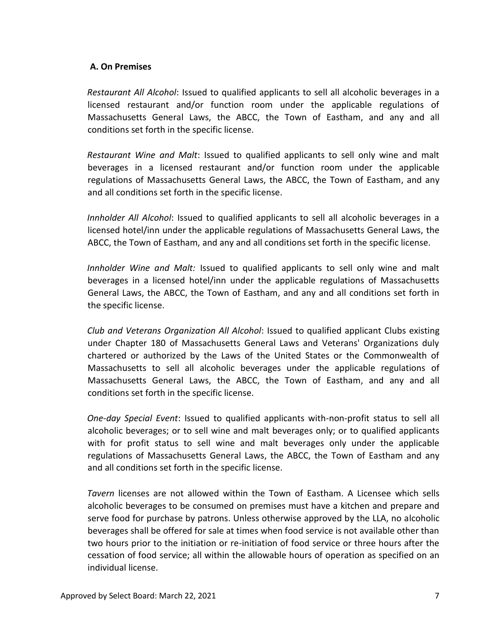## **A. On Premises**

*Restaurant All Alcohol*: Issued to qualified applicants to sell all alcoholic beverages in a licensed restaurant and/or function room under the applicable regulations of Massachusetts General Laws, the ABCC, the Town of Eastham, and any and all conditions set forth in the specific license.

*Restaurant Wine and Malt*: Issued to qualified applicants to sell only wine and malt beverages in a licensed restaurant and/or function room under the applicable regulations of Massachusetts General Laws, the ABCC, the Town of Eastham, and any and all conditions set forth in the specific license.

*Innholder All Alcohol*: Issued to qualified applicants to sell all alcoholic beverages in a licensed hotel/inn under the applicable regulations of Massachusetts General Laws, the ABCC, the Town of Eastham, and any and all conditions set forth in the specific license.

*Innholder Wine and Malt:* Issued to qualified applicants to sell only wine and malt beverages in a licensed hotel/inn under the applicable regulations of Massachusetts General Laws, the ABCC, the Town of Eastham, and any and all conditions set forth in the specific license.

*Club and Veterans Organization All Alcohol*: Issued to qualified applicant Clubs existing under Chapter 180 of Massachusetts General Laws and Veterans' Organizations duly chartered or authorized by the Laws of the United States or the Commonwealth of Massachusetts to sell all alcoholic beverages under the applicable regulations of Massachusetts General Laws, the ABCC, the Town of Eastham, and any and all conditions set forth in the specific license.

*One-day Special Event*: Issued to qualified applicants with-non-profit status to sell all alcoholic beverages; or to sell wine and malt beverages only; or to qualified applicants with for profit status to sell wine and malt beverages only under the applicable regulations of Massachusetts General Laws, the ABCC, the Town of Eastham and any and all conditions set forth in the specific license.

*Tavern* licenses are not allowed within the Town of Eastham. A Licensee which sells alcoholic beverages to be consumed on premises must have a kitchen and prepare and serve food for purchase by patrons. Unless otherwise approved by the LLA, no alcoholic beverages shall be offered for sale at times when food service is not available other than two hours prior to the initiation or re-initiation of food service or three hours after the cessation of food service; all within the allowable hours of operation as specified on an individual license.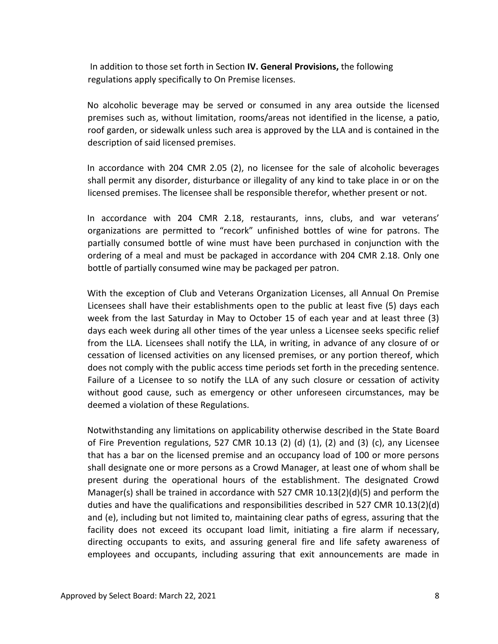In addition to those set forth in Section **IV. General Provisions,** the following regulations apply specifically to On Premise licenses.

No alcoholic beverage may be served or consumed in any area outside the licensed premises such as, without limitation, rooms/areas not identified in the license, a patio, roof garden, or sidewalk unless such area is approved by the LLA and is contained in the description of said licensed premises.

In accordance with 204 CMR 2.05 (2), no licensee for the sale of alcoholic beverages shall permit any disorder, disturbance or illegality of any kind to take place in or on the licensed premises. The licensee shall be responsible therefor, whether present or not.

In accordance with 204 CMR 2.18, restaurants, inns, clubs, and war veterans' organizations are permitted to "recork" unfinished bottles of wine for patrons. The partially consumed bottle of wine must have been purchased in conjunction with the ordering of a meal and must be packaged in accordance with 204 CMR 2.18. Only one bottle of partially consumed wine may be packaged per patron.

With the exception of Club and Veterans Organization Licenses, all Annual On Premise Licensees shall have their establishments open to the public at least five (5) days each week from the last Saturday in May to October 15 of each year and at least three (3) days each week during all other times of the year unless a Licensee seeks specific relief from the LLA. Licensees shall notify the LLA, in writing, in advance of any closure of or cessation of licensed activities on any licensed premises, or any portion thereof, which does not comply with the public access time periods set forth in the preceding sentence. Failure of a Licensee to so notify the LLA of any such closure or cessation of activity without good cause, such as emergency or other unforeseen circumstances, may be deemed a violation of these Regulations.

Notwithstanding any limitations on applicability otherwise described in the State Board of Fire Prevention regulations, 527 CMR 10.13 (2) (d)  $(1)$ , (2) and (3) (c), any Licensee that has a bar on the licensed premise and an occupancy load of 100 or more persons shall designate one or more persons as a Crowd Manager, at least one of whom shall be present during the operational hours of the establishment. The designated Crowd Manager(s) shall be trained in accordance with 527 CMR 10.13(2)(d)(5) and perform the duties and have the qualifications and responsibilities described in 527 CMR 10.13(2)(d) and (e), including but not limited to, maintaining clear paths of egress, assuring that the facility does not exceed its occupant load limit, initiating a fire alarm if necessary, directing occupants to exits, and assuring general fire and life safety awareness of employees and occupants, including assuring that exit announcements are made in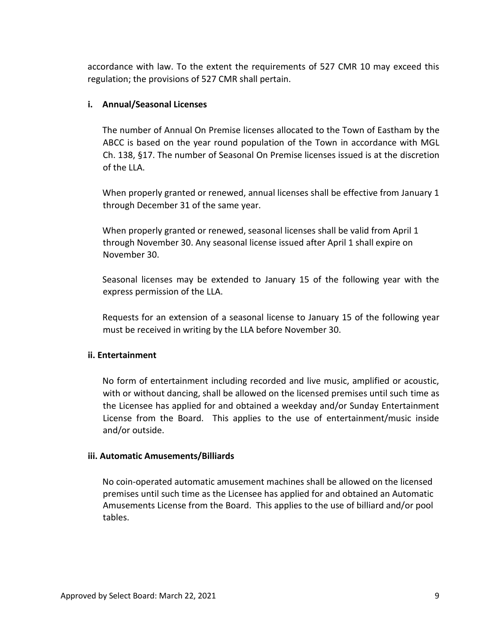accordance with law. To the extent the requirements of 527 CMR 10 may exceed this regulation; the provisions of 527 CMR shall pertain.

#### **i. Annual/Seasonal Licenses**

The number of Annual On Premise licenses allocated to the Town of Eastham by the ABCC is based on the year round population of the Town in accordance with MGL Ch. 138, §17. The number of Seasonal On Premise licenses issued is at the discretion of the LLA.

When properly granted or renewed, annual licenses shall be effective from January 1 through December 31 of the same year.

When properly granted or renewed, seasonal licenses shall be valid from April 1 through November 30. Any seasonal license issued after April 1 shall expire on November 30.

Seasonal licenses may be extended to January 15 of the following year with the express permission of the LLA.

Requests for an extension of a seasonal license to January 15 of the following year must be received in writing by the LLA before November 30.

#### **ii. Entertainment**

No form of entertainment including recorded and live music, amplified or acoustic, with or without dancing, shall be allowed on the licensed premises until such time as the Licensee has applied for and obtained a weekday and/or Sunday Entertainment License from the Board. This applies to the use of entertainment/music inside and/or outside.

#### **iii. Automatic Amusements/Billiards**

No coin-operated automatic amusement machines shall be allowed on the licensed premises until such time as the Licensee has applied for and obtained an Automatic Amusements License from the Board. This applies to the use of billiard and/or pool tables.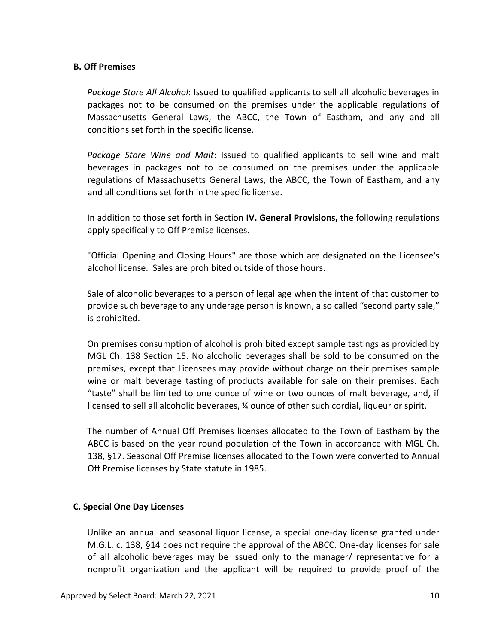#### **B. Off Premises**

*Package Store All Alcohol*: Issued to qualified applicants to sell all alcoholic beverages in packages not to be consumed on the premises under the applicable regulations of Massachusetts General Laws, the ABCC, the Town of Eastham, and any and all conditions set forth in the specific license.

*Package Store Wine and Malt*: Issued to qualified applicants to sell wine and malt beverages in packages not to be consumed on the premises under the applicable regulations of Massachusetts General Laws, the ABCC, the Town of Eastham, and any and all conditions set forth in the specific license.

In addition to those set forth in Section **IV. General Provisions,** the following regulations apply specifically to Off Premise licenses.

"Official Opening and Closing Hours" are those which are designated on the Licensee's alcohol license. Sales are prohibited outside of those hours.

Sale of alcoholic beverages to a person of legal age when the intent of that customer to provide such beverage to any underage person is known, a so called "second party sale," is prohibited.

On premises consumption of alcohol is prohibited except sample tastings as provided by MGL Ch. 138 Section 15. No alcoholic beverages shall be sold to be consumed on the premises, except that Licensees may provide without charge on their premises sample wine or malt beverage tasting of products available for sale on their premises. Each "taste" shall be limited to one ounce of wine or two ounces of malt beverage, and, if licensed to sell all alcoholic beverages, ¼ ounce of other such cordial, liqueur or spirit.

The number of Annual Off Premises licenses allocated to the Town of Eastham by the ABCC is based on the year round population of the Town in accordance with MGL Ch. 138, §17. Seasonal Off Premise licenses allocated to the Town were converted to Annual Off Premise licenses by State statute in 1985.

#### **C. Special One Day Licenses**

Unlike an annual and seasonal liquor license, a special one-day license granted under M.G.L. c. 138, §14 does not require the approval of the ABCC. One-day licenses for sale of all alcoholic beverages may be issued only to the manager/ representative for a nonprofit organization and the applicant will be required to provide proof of the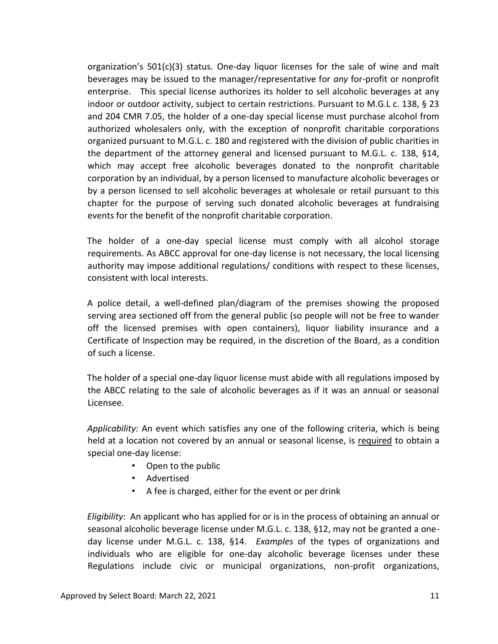organization's  $501(c)(3)$  status. One-day liquor licenses for the sale of wine and malt beverages may be issued to the manager/representative for *any* for-profit or nonprofit enterprise. This special license authorizes its holder to sell alcoholic beverages at any indoor or outdoor activity, subject to certain restrictions. Pursuant to M.G.L c. 138, § 23 and 204 CMR 7.05, the holder of a one-day special license must purchase alcohol from authorized wholesalers only, with the exception of nonprofit charitable corporations organized pursuant to M.G.L. c. 180 and registered with the division of public charities in the department of the attorney general and licensed pursuant to M.G.L. c. 138, §14, which may accept free alcoholic beverages donated to the nonprofit charitable corporation by an individual, by a person licensed to manufacture alcoholic beverages or by a person licensed to sell alcoholic beverages at wholesale or retail pursuant to this chapter for the purpose of serving such donated alcoholic beverages at fundraising events for the benefit of the nonprofit charitable corporation.

The holder of a one-day special license must comply with all alcohol storage requirements. As ABCC approval for one-day license is not necessary, the local licensing authority may impose additional regulations/ conditions with respect to these licenses, consistent with local interests.

A police detail, a well-defined plan/diagram of the premises showing the proposed serving area sectioned off from the general public (so people will not be free to wander off the licensed premises with open containers), liquor liability insurance and a Certificate of Inspection may be required, in the discretion of the Board, as a condition of such a license.

The holder of a special one-day liquor license must abide with all regulations imposed by the ABCC relating to the sale of alcoholic beverages as if it was an annual or seasonal Licensee.

*Applicability:* An event which satisfies any one of the following criteria, which is being held at a location not covered by an annual or seasonal license, is required to obtain a special one-day license:

- Open to the public
- Advertised
- A fee is charged, either for the event or per drink

*Eligibility*: An applicant who has applied for or is in the process of obtaining an annual or seasonal alcoholic beverage license under M.G.L. c. 138, §12, may not be granted a oneday license under M.G.L. c. 138, §14. *Examples* of the types of organizations and individuals who are eligible for one-day alcoholic beverage licenses under these Regulations include civic or municipal organizations, non-profit organizations,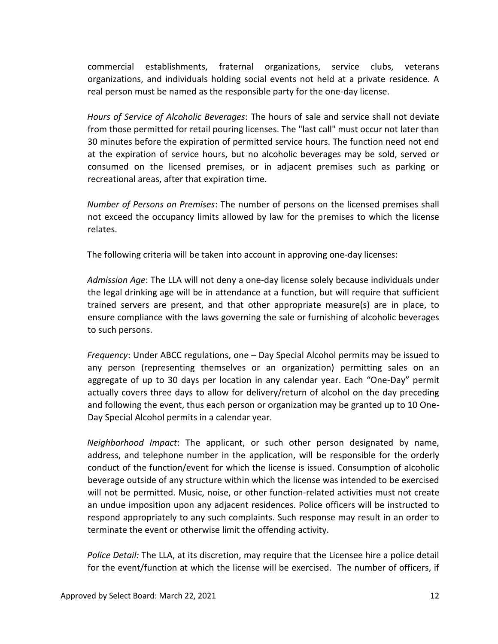commercial establishments, fraternal organizations, service clubs, veterans organizations, and individuals holding social events not held at a private residence. A real person must be named as the responsible party for the one-day license.

*Hours of Service of Alcoholic Beverages*: The hours of sale and service shall not deviate from those permitted for retail pouring licenses. The "last call" must occur not later than 30 minutes before the expiration of permitted service hours. The function need not end at the expiration of service hours, but no alcoholic beverages may be sold, served or consumed on the licensed premises, or in adjacent premises such as parking or recreational areas, after that expiration time.

*Number of Persons on Premises*: The number of persons on the licensed premises shall not exceed the occupancy limits allowed by law for the premises to which the license relates.

The following criteria will be taken into account in approving one-day licenses:

*Admission Age*: The LLA will not deny a one-day license solely because individuals under the legal drinking age will be in attendance at a function, but will require that sufficient trained servers are present, and that other appropriate measure(s) are in place, to ensure compliance with the laws governing the sale or furnishing of alcoholic beverages to such persons.

*Frequency*: Under ABCC regulations, one – Day Special Alcohol permits may be issued to any person (representing themselves or an organization) permitting sales on an aggregate of up to 30 days per location in any calendar year. Each "One-Day" permit actually covers three days to allow for delivery/return of alcohol on the day preceding and following the event, thus each person or organization may be granted up to 10 One-Day Special Alcohol permits in a calendar year.

*Neighborhood Impact*: The applicant, or such other person designated by name, address, and telephone number in the application, will be responsible for the orderly conduct of the function/event for which the license is issued. Consumption of alcoholic beverage outside of any structure within which the license was intended to be exercised will not be permitted. Music, noise, or other function-related activities must not create an undue imposition upon any adjacent residences. Police officers will be instructed to respond appropriately to any such complaints. Such response may result in an order to terminate the event or otherwise limit the offending activity.

*Police Detail:* The LLA, at its discretion, may require that the Licensee hire a police detail for the event/function at which the license will be exercised. The number of officers, if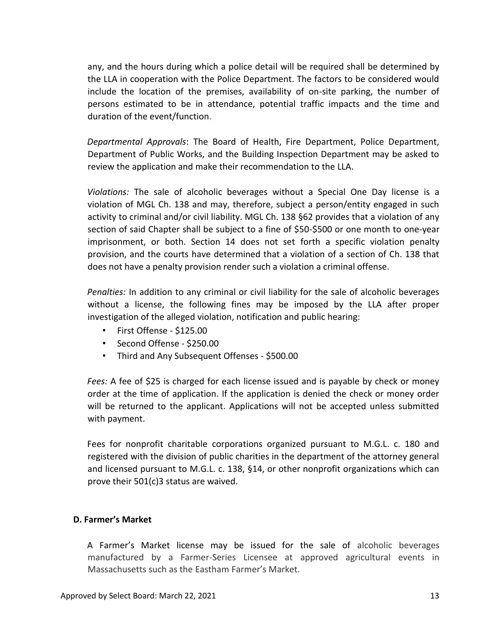any, and the hours during which a police detail will be required shall be determined by the LLA in cooperation with the Police Department. The factors to be considered would include the location of the premises, availability of on-site parking, the number of persons estimated to be in attendance, potential traffic impacts and the time and duration of the event/function.

*Departmental Approvals*: The Board of Health, Fire Department, Police Department, Department of Public Works, and the Building Inspection Department may be asked to review the application and make their recommendation to the LLA.

*Violations:* The sale of alcoholic beverages without a Special One Day license is a violation of MGL Ch. 138 and may, therefore, subject a person/entity engaged in such activity to criminal and/or civil liability. MGL Ch. 138 §62 provides that a violation of any section of said Chapter shall be subject to a fine of \$50-\$500 or one month to one-year imprisonment, or both. Section 14 does not set forth a specific violation penalty provision, and the courts have determined that a violation of a section of Ch. 138 that does not have a penalty provision render such a violation a criminal offense.

*Penalties:* In addition to any criminal or civil liability for the sale of alcoholic beverages without a license, the following fines may be imposed by the LLA after proper investigation of the alleged violation, notification and public hearing:

- First Offense \$125.00
- Second Offense \$250.00
- Third and Any Subsequent Offenses \$500.00

*Fees:* A fee of \$25 is charged for each license issued and is payable by check or money order at the time of application. If the application is denied the check or money order will be returned to the applicant. Applications will not be accepted unless submitted with payment.

Fees for nonprofit charitable corporations organized pursuant to M.G.L. c. 180 and registered with the division of public charities in the department of the attorney general and licensed pursuant to M.G.L. c. 138, §14, or other nonprofit organizations which can prove their 501(c)3 status are waived.

## **D. Farmer's Market**

A Farmer's Market license may be issued for the sale of alcoholic beverages manufactured by a Farmer-Series Licensee at approved agricultural events in Massachusetts such as the Eastham Farmer's Market.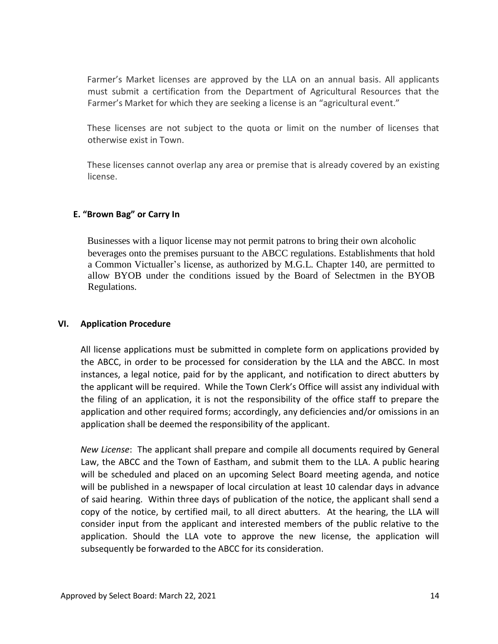Farmer's Market licenses are approved by the LLA on an annual basis. All applicants must submit a certification from the Department of Agricultural Resources that the Farmer's Market for which they are seeking a license is an "agricultural event."

These licenses are not subject to the quota or limit on the number of licenses that otherwise exist in Town.

These licenses cannot overlap any area or premise that is already covered by an existing license.

## **E. "Brown Bag" or Carry In**

Businesses with a liquor license may not permit patrons to bring their own alcoholic beverages onto the premises pursuant to the ABCC regulations. Establishments that hold a Common Victualler's license, as authorized by M.G.L. Chapter 140, are permitted to allow BYOB under the conditions issued by the Board of Selectmen in the BYOB Regulations.

## **VI. Application Procedure**

All license applications must be submitted in complete form on applications provided by the ABCC, in order to be processed for consideration by the LLA and the ABCC. In most instances, a legal notice, paid for by the applicant, and notification to direct abutters by the applicant will be required. While the Town Clerk's Office will assist any individual with the filing of an application, it is not the responsibility of the office staff to prepare the application and other required forms; accordingly, any deficiencies and/or omissions in an application shall be deemed the responsibility of the applicant.

*New License*: The applicant shall prepare and compile all documents required by General Law, the ABCC and the Town of Eastham, and submit them to the LLA. A public hearing will be scheduled and placed on an upcoming Select Board meeting agenda, and notice will be published in a newspaper of local circulation at least 10 calendar days in advance of said hearing. Within three days of publication of the notice, the applicant shall send a copy of the notice, by certified mail, to all direct abutters. At the hearing, the LLA will consider input from the applicant and interested members of the public relative to the application. Should the LLA vote to approve the new license, the application will subsequently be forwarded to the ABCC for its consideration.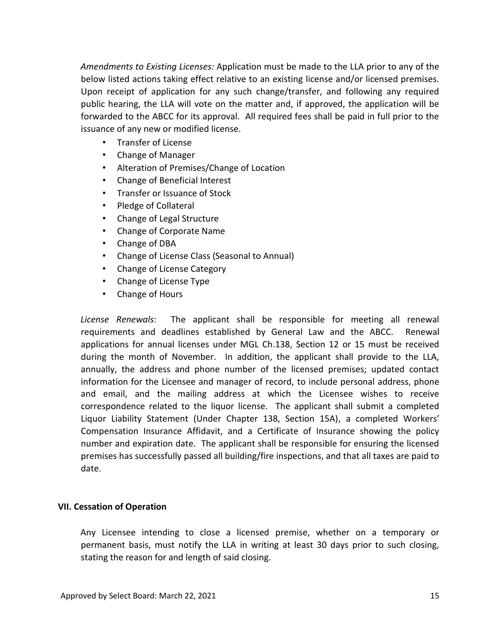*Amendments to Existing Licenses:* Application must be made to the LLA prior to any of the below listed actions taking effect relative to an existing license and/or licensed premises. Upon receipt of application for any such change/transfer, and following any required public hearing, the LLA will vote on the matter and, if approved, the application will be forwarded to the ABCC for its approval. All required fees shall be paid in full prior to the issuance of any new or modified license.

- Transfer of License
- Change of Manager
- Alteration of Premises/Change of Location
- Change of Beneficial Interest
- Transfer or Issuance of Stock
- Pledge of Collateral
- Change of Legal Structure
- Change of Corporate Name
- Change of DBA
- Change of License Class (Seasonal to Annual)
- Change of License Category
- Change of License Type
- Change of Hours

*License Renewals*: The applicant shall be responsible for meeting all renewal requirements and deadlines established by General Law and the ABCC. Renewal applications for annual licenses under MGL Ch.138, Section 12 or 15 must be received during the month of November. In addition, the applicant shall provide to the LLA, annually, the address and phone number of the licensed premises; updated contact information for the Licensee and manager of record, to include personal address, phone and email, and the mailing address at which the Licensee wishes to receive correspondence related to the liquor license. The applicant shall submit a completed Liquor Liability Statement (Under Chapter 138, Section 15A), a completed Workers' Compensation Insurance Affidavit, and a Certificate of Insurance showing the policy number and expiration date. The applicant shall be responsible for ensuring the licensed premises has successfully passed all building/fire inspections, and that all taxes are paid to date.

#### **VII. Cessation of Operation**

Any Licensee intending to close a licensed premise, whether on a temporary or permanent basis, must notify the LLA in writing at least 30 days prior to such closing, stating the reason for and length of said closing.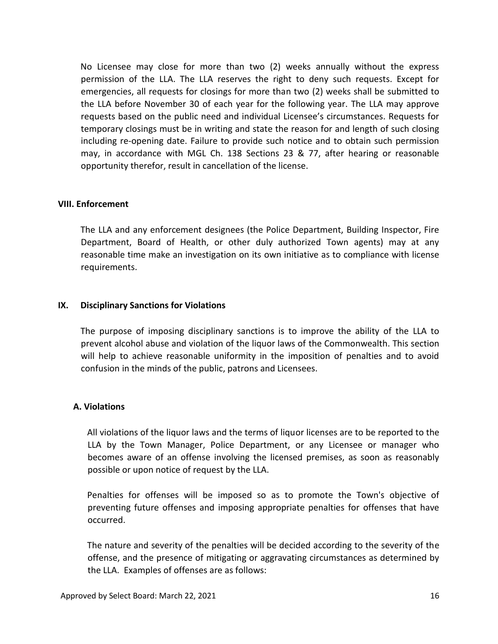No Licensee may close for more than two (2) weeks annually without the express permission of the LLA. The LLA reserves the right to deny such requests. Except for emergencies, all requests for closings for more than two (2) weeks shall be submitted to the LLA before November 30 of each year for the following year. The LLA may approve requests based on the public need and individual Licensee's circumstances. Requests for temporary closings must be in writing and state the reason for and length of such closing including re-opening date. Failure to provide such notice and to obtain such permission may, in accordance with MGL Ch. 138 Sections 23 & 77, after hearing or reasonable opportunity therefor, result in cancellation of the license.

#### **VIII. Enforcement**

The LLA and any enforcement designees (the Police Department, Building Inspector, Fire Department, Board of Health, or other duly authorized Town agents) may at any reasonable time make an investigation on its own initiative as to compliance with license requirements.

#### **IX. Disciplinary Sanctions for Violations**

The purpose of imposing disciplinary sanctions is to improve the ability of the LLA to prevent alcohol abuse and violation of the liquor laws of the Commonwealth. This section will help to achieve reasonable uniformity in the imposition of penalties and to avoid confusion in the minds of the public, patrons and Licensees.

#### **A. Violations**

All violations of the liquor laws and the terms of liquor licenses are to be reported to the LLA by the Town Manager, Police Department, or any Licensee or manager who becomes aware of an offense involving the licensed premises, as soon as reasonably possible or upon notice of request by the LLA.

Penalties for offenses will be imposed so as to promote the Town's objective of preventing future offenses and imposing appropriate penalties for offenses that have occurred.

The nature and severity of the penalties will be decided according to the severity of the offense, and the presence of mitigating or aggravating circumstances as determined by the LLA. Examples of offenses are as follows: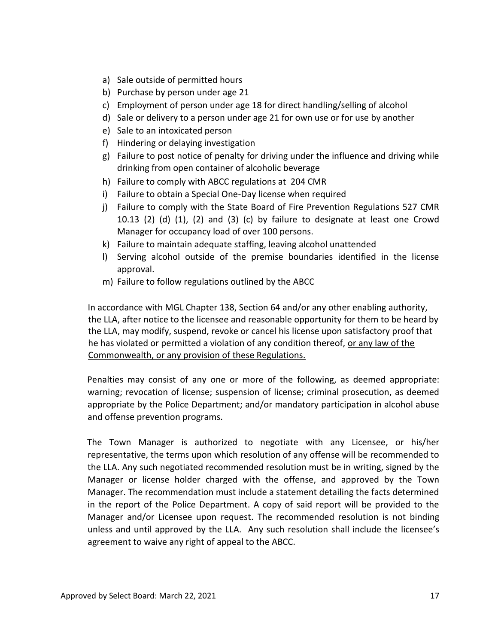- a) Sale outside of permitted hours
- b) Purchase by person under age 21
- c) Employment of person under age 18 for direct handling/selling of alcohol
- d) Sale or delivery to a person under age 21 for own use or for use by another
- e) Sale to an intoxicated person
- f) Hindering or delaying investigation
- g) Failure to post notice of penalty for driving under the influence and driving while drinking from open container of alcoholic beverage
- h) Failure to comply with ABCC regulations at 204 CMR
- i) Failure to obtain a Special One-Day license when required
- j) Failure to comply with the State Board of Fire Prevention Regulations 527 CMR 10.13 (2) (d) (1), (2) and (3) (c) by failure to designate at least one Crowd Manager for occupancy load of over 100 persons.
- k) Failure to maintain adequate staffing, leaving alcohol unattended
- l) Serving alcohol outside of the premise boundaries identified in the license approval.
- m) Failure to follow regulations outlined by the ABCC

In accordance with MGL Chapter 138, Section 64 and/or any other enabling authority, the LLA, after notice to the licensee and reasonable opportunity for them to be heard by the LLA, may modify, suspend, revoke or cancel his license upon satisfactory proof that he has violated or permitted a violation of any condition thereof, or any law of the Commonwealth, or any provision of these Regulations.

Penalties may consist of any one or more of the following, as deemed appropriate: warning; revocation of license; suspension of license; criminal prosecution, as deemed appropriate by the Police Department; and/or mandatory participation in alcohol abuse and offense prevention programs.

The Town Manager is authorized to negotiate with any Licensee, or his/her representative, the terms upon which resolution of any offense will be recommended to the LLA. Any such negotiated recommended resolution must be in writing, signed by the Manager or license holder charged with the offense, and approved by the Town Manager. The recommendation must include a statement detailing the facts determined in the report of the Police Department. A copy of said report will be provided to the Manager and/or Licensee upon request. The recommended resolution is not binding unless and until approved by the LLA. Any such resolution shall include the licensee's agreement to waive any right of appeal to the ABCC.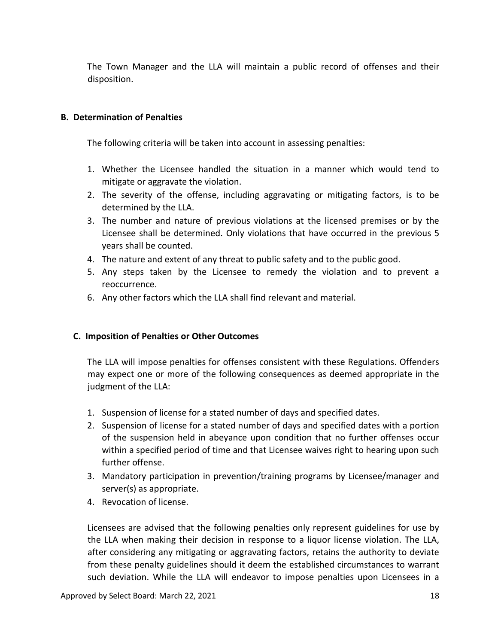The Town Manager and the LLA will maintain a public record of offenses and their disposition.

#### **B. Determination of Penalties**

The following criteria will be taken into account in assessing penalties:

- 1. Whether the Licensee handled the situation in a manner which would tend to mitigate or aggravate the violation.
- 2. The severity of the offense, including aggravating or mitigating factors, is to be determined by the LLA.
- 3. The number and nature of previous violations at the licensed premises or by the Licensee shall be determined. Only violations that have occurred in the previous 5 years shall be counted.
- 4. The nature and extent of any threat to public safety and to the public good.
- 5. Any steps taken by the Licensee to remedy the violation and to prevent a reoccurrence.
- 6. Any other factors which the LLA shall find relevant and material.

#### **C. Imposition of Penalties or Other Outcomes**

The LLA will impose penalties for offenses consistent with these Regulations. Offenders may expect one or more of the following consequences as deemed appropriate in the judgment of the LLA:

- 1. Suspension of license for a stated number of days and specified dates.
- 2. Suspension of license for a stated number of days and specified dates with a portion of the suspension held in abeyance upon condition that no further offenses occur within a specified period of time and that Licensee waives right to hearing upon such further offense.
- 3. Mandatory participation in prevention/training programs by Licensee/manager and server(s) as appropriate.
- 4. Revocation of license.

Licensees are advised that the following penalties only represent guidelines for use by the LLA when making their decision in response to a liquor license violation. The LLA, after considering any mitigating or aggravating factors, retains the authority to deviate from these penalty guidelines should it deem the established circumstances to warrant such deviation. While the LLA will endeavor to impose penalties upon Licensees in a